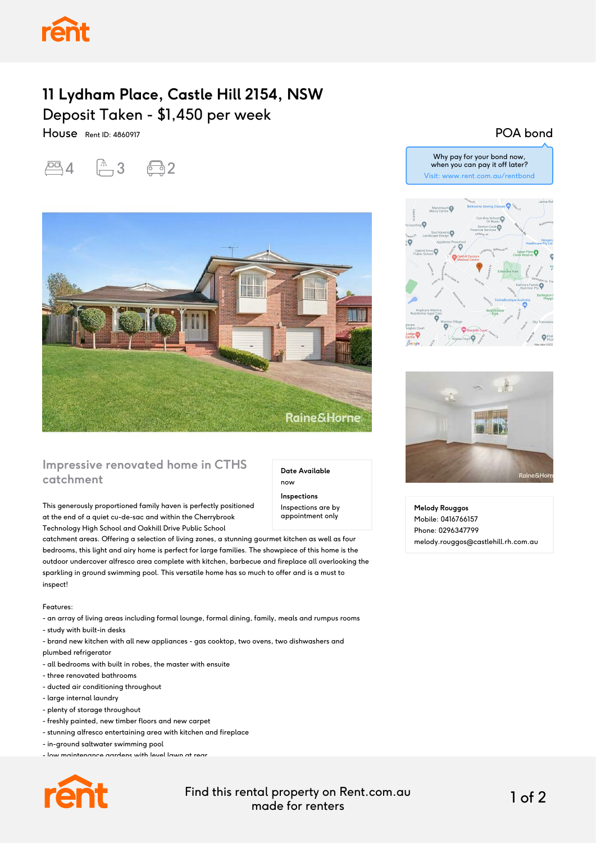## **11 Lydham Place, Castle Hill 2154, NSW** Deposit Taken - \$1,450 per week

House Rent ID: 4860917





### **Impressive renovated home in CTHS catchment**

This generously proportioned family haven is perfectly positioned at the end of a quiet cu-de-sac and within the Cherrybrook Technology High School and Oakhill Drive Public School

catchment areas. Offering a selection of living zones, a stunning gourmet kitchen as well as four bedrooms, this light and airy home is perfect for large families. The showpiece of this home is the outdoor undercover alfresco area complete with kitchen, barbecue and fireplace all overlooking the sparkling in ground swimming pool. This versatile home has so much to offer and is a must to inspect!

Features:

- an array of living areas including formal lounge, formal dining, family, meals and rumpus rooms

- study with built-in desks

- brand new kitchen with all new appliances gas cooktop, two ovens, two dishwashers and plumbed refrigerator
- all bedrooms with built in robes, the master with ensuite
- three renovated bathrooms
- ducted air conditioning throughout
- large internal laundry
- plenty of storage throughout
- freshly painted, new timber floors and new carpet
- stunning alfresco entertaining area with kitchen and fireplace
- in-ground saltwater swimming pool
- low maintenance gardens with level lawn at rear



POA bond



Why pay for your bond now,



**Melody Rouggos** Mobile: 0416766157 Phone: 0296347799 melody.rouggos@castlehill.rh.com.au

#### Find this rental property on Rent.com.au made for renters 1 of 2

**Date Available**

now **Inspections** Inspections are by appointment only